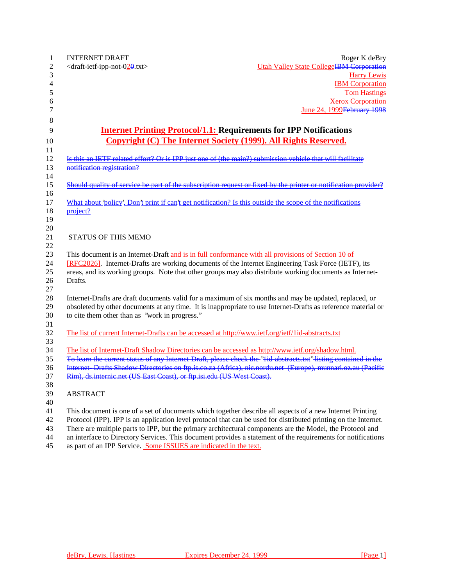| 1              | <b>INTERNET DRAFT</b>                                                                                            | Roger K deBry                                   |
|----------------|------------------------------------------------------------------------------------------------------------------|-------------------------------------------------|
| $\overline{c}$ | <draft-ietf-ipp-not-020.txt></draft-ietf-ipp-not-020.txt>                                                        | <b>Utah Valley State CollegeIBM Corporation</b> |
| 3              |                                                                                                                  | <b>Harry Lewis</b>                              |
| 4              |                                                                                                                  | <b>IBM</b> Corporation                          |
| 5              |                                                                                                                  | <b>Tom Hastings</b>                             |
| 6              |                                                                                                                  | <b>Xerox Corporation</b>                        |
| 7              |                                                                                                                  | June 24, 1999 February 1998                     |
| 8              |                                                                                                                  |                                                 |
| 9              | <b>Internet Printing Protocol/1.1: Requirements for IPP Notifications</b>                                        |                                                 |
| 10             | <b>Copyright (C) The Internet Society (1999). All Rights Reserved.</b>                                           |                                                 |
| 11             |                                                                                                                  |                                                 |
| 12             | Is this an IETF related effort? Or is IPP just one of (the main?) submission vehicle that will facilitate        |                                                 |
| 13             | notification registration?                                                                                       |                                                 |
| 14             |                                                                                                                  |                                                 |
| 15             | Should quality of service be part of the subscription request or fixed by the printer or notification provider?  |                                                 |
| 16             |                                                                                                                  |                                                 |
| 17             | What about 'policy'. Don't print if can't get notification? Is this outside the scope of the notifications       |                                                 |
| 18             | project?                                                                                                         |                                                 |
| 19             |                                                                                                                  |                                                 |
| 20<br>21       | <b>STATUS OF THIS MEMO</b>                                                                                       |                                                 |
| 22             |                                                                                                                  |                                                 |
| 23             | This document is an Internet-Draft and is in full conformance with all provisions of Section 10 of               |                                                 |
| 24             | [RFC2026]. Internet-Drafts are working documents of the Internet Engineering Task Force (IETF), its              |                                                 |
| 25             | areas, and its working groups. Note that other groups may also distribute working documents as Internet-         |                                                 |
| 26             | Drafts.                                                                                                          |                                                 |
| 27             |                                                                                                                  |                                                 |
| 28             | Internet-Drafts are draft documents valid for a maximum of six months and may be updated, replaced, or           |                                                 |
| 29             | obsoleted by other documents at any time. It is inappropriate to use Internet-Drafts as reference material or    |                                                 |
| 30             | to cite them other than as "work in progress."                                                                   |                                                 |
| 31             |                                                                                                                  |                                                 |
| 32             | The list of current Internet-Drafts can be accessed at http://www.ietf.org/ietf/1id-abstracts.txt                |                                                 |
| 33             |                                                                                                                  |                                                 |
| 34             | The list of Internet-Draft Shadow Directories can be accessed as http://www.ietf.org/shadow.html.                |                                                 |
| 35             | To learn the current status of any Internet-Draft, please check the "lid-abstracts.txt" listing contained in the |                                                 |
| 36             | Internet-Drafts Shadow Directories on ftp.is.co.za (Africa), nic.nordu.net (Europe), munnari.oz.au (Pacific      |                                                 |
| 37             | Rim), ds.internic.net (US East Coast), or ftp.isi.edu (US West Coast).                                           |                                                 |
| $38\,$         |                                                                                                                  |                                                 |
| 39             | <b>ABSTRACT</b>                                                                                                  |                                                 |
| 40             |                                                                                                                  |                                                 |
| 41             | This document is one of a set of documents which together describe all aspects of a new Internet Printing        |                                                 |
| 42             | Protocol (IPP). IPP is an application level protocol that can be used for distributed printing on the Internet.  |                                                 |
| 43             | There are multiple parts to IPP, but the primary architectural components are the Model, the Protocol and        |                                                 |
| 44             | an interface to Directory Services. This document provides a statement of the requirements for notifications     |                                                 |
| 45             | as part of an IPP Service. Some ISSUES are indicated in the text.                                                |                                                 |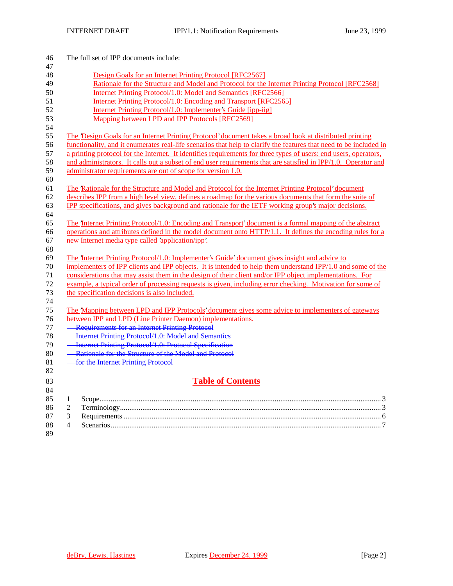| 46       | The full set of IPP documents include:                                                                             |
|----------|--------------------------------------------------------------------------------------------------------------------|
| 47       |                                                                                                                    |
| 48       | Design Goals for an Internet Printing Protocol [RFC2567]                                                           |
| 49       | Rationale for the Structure and Model and Protocol for the Internet Printing Protocol [RFC2568]                    |
| 50       | Internet Printing Protocol/1.0: Model and Semantics [RFC2566]                                                      |
| 51       | Internet Printing Protocol/1.0: Encoding and Transport [RFC2565]                                                   |
| 52       | Internet Printing Protocol/1.0: Implementer's Guide [ipp-iig]                                                      |
| 53       | Mapping between LPD and IPP Protocols [RFC2569]                                                                    |
| 54       |                                                                                                                    |
| 55       | The 'Design Goals for an Internet Printing Protocol' document takes a broad look at distributed printing           |
| 56       | functionality, and it enumerates real-life scenarios that help to clarify the features that need to be included in |
| 57       | a printing protocol for the Internet. It identifies requirements for three types of users; end users, operators,   |
| 58       | and administrators. It calls out a subset of end user requirements that are satisfied in IPP/1.0. Operator and     |
| 59       | administrator requirements are out of scope for version 1.0.                                                       |
| 60       |                                                                                                                    |
| 61       | The Rationale for the Structure and Model and Protocol for the Internet Printing Protocol' document                |
| 62       | describes IPP from a high level view, defines a roadmap for the various documents that form the suite of           |
| 63       | IPP specifications, and gives background and rationale for the IETF working group's major decisions.               |
| 64       |                                                                                                                    |
| 65       | The Internet Printing Protocol/1.0: Encoding and Transport' document is a formal mapping of the abstract           |
| 66       | operations and attributes defined in the model document onto HTTP/1.1. It defines the encoding rules for a         |
| 67       | new Internet media type called 'application/ipp'.                                                                  |
| 68       |                                                                                                                    |
| 69       | The Internet Printing Protocol/1.0: Implementer's Guide' document gives insight and advice to                      |
| 70       | implementers of IPP clients and IPP objects. It is intended to help them understand IPP/1.0 and some of the        |
| 71       | considerations that may assist them in the design of their client and/or IPP object implementations. For           |
| 72       | example, a typical order of processing requests is given, including error checking. Motivation for some of         |
| 73       | the specification decisions is also included.                                                                      |
| 74       |                                                                                                                    |
| 75       | The 'Mapping between LPD and IPP Protocols' document gives some advice to implementers of gateways                 |
| 76       | between IPP and LPD (Line Printer Daemon) implementations.                                                         |
| 77       | - Requirements for an Internet Printing Protocol                                                                   |
| 78       | <b>Internet Printing Protocol/1.0: Model and Semantics</b>                                                         |
| 79       | - Internet Printing Protocol/1.0: Protocol Specification                                                           |
| 80       | - Rationale for the Structure of the Model and Protocol                                                            |
| 81       | <b>- for the Internet Printing Protocol</b>                                                                        |
| 82       |                                                                                                                    |
| 83<br>84 | <b>Table of Contents</b>                                                                                           |
| 85       | $\mathbf{1}$                                                                                                       |
| 86       | $\sqrt{2}$                                                                                                         |
| 87       | 3                                                                                                                  |
| 88       | $\overline{4}$                                                                                                     |
| 89       |                                                                                                                    |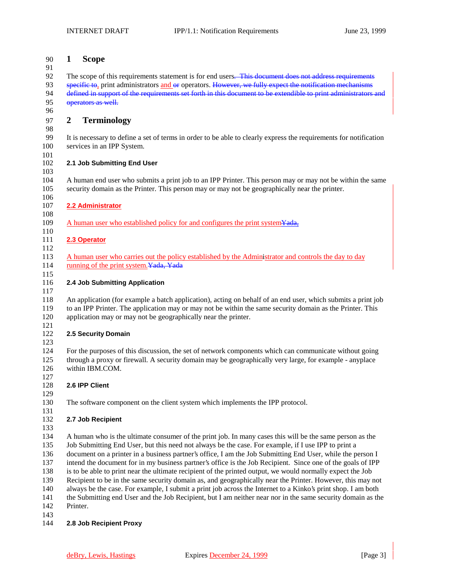# **1 Scope**

92 The scope of this requirements statement is for end users. This document does not address requirements 93 specific to, print administrators and or operators. However, we fully expect the notification mechanisms defined in support of the requirements set forth in this document to be extendible to print administrators defined in support of the requirements set forth in this document to be extendible to print administrators and 95 operators as well.

# **2 Terminology**

 It is necessary to define a set of terms in order to be able to clearly express the requirements for notification services in an IPP System.

#### $\frac{101}{102}$ **2.1 Job Submitting End User**

 A human end user who submits a print job to an IPP Printer. This person may or may not be within the same security domain as the Printer. This person may or may not be geographically near the printer.

### **2.2 Administrator**

109 A human user who established policy for and configures the print system Yada,

#### **2.3 Operator**

113 A human user who carries out the policy established by the Administrator and controls the day to day 114 running of the print system. Yada, Yada

### **2.4 Job Submitting Application**

 An application (for example a batch application), acting on behalf of an end user, which submits a print job to an IPP Printer. The application may or may not be within the same security domain as the Printer. This application may or may not be geographically near the printer. 

## **2.5 Security Domain**

 For the purposes of this discussion, the set of network components which can communicate without going through a proxy or firewall. A security domain may be geographically very large, for example - anyplace within IBM.COM.

## **2.6 IPP Client**

 The software component on the client system which implements the IPP protocol. 

# **2.7 Job Recipient**

 A human who is the ultimate consumer of the print job. In many cases this will be the same person as the Job Submitting End User, but this need not always be the case. For example, if I use IPP to print a document on a printer in a business partner's office, I am the Job Submitting End User, while the person I intend the document for in my business partner's office is the Job Recipient. Since one of the goals of IPP is to be able to print near the ultimate recipient of the printed output, we would normally expect the Job Recipient to be in the same security domain as, and geographically near the Printer. However, this may not always be the case. For example, I submit a print job across the Internet to a Kinko's print shop. I am both the Submitting end User and the Job Recipient, but I am neither near nor in the same security domain as the Printer. 

## **2.8 Job Recipient Proxy**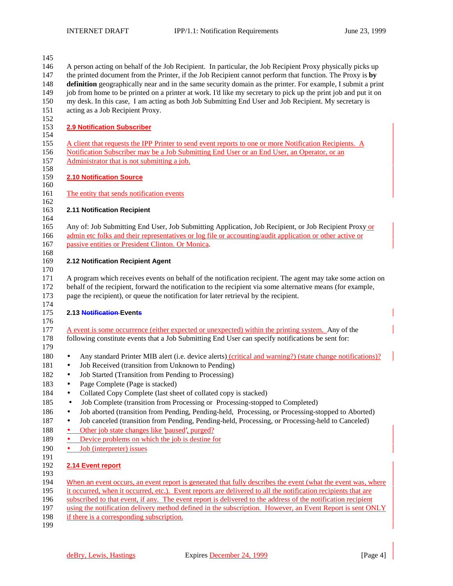| 145        |                                                                                                                |
|------------|----------------------------------------------------------------------------------------------------------------|
| 146        | A person acting on behalf of the Job Recipient. In particular, the Job Recipient Proxy physically picks up     |
| 147        | the printed document from the Printer, if the Job Recipient cannot perform that function. The Proxy is by      |
| 148        | definition geographically near and in the same security domain as the printer. For example, I submit a print   |
| 149        | job from home to be printed on a printer at work. I'd like my secretary to pick up the print job and put it on |
| 150        | my desk. In this case, I am acting as both Job Submitting End User and Job Recipient. My secretary is          |
| 151        | acting as a Job Recipient Proxy.                                                                               |
| 152        |                                                                                                                |
| 153        | <b>2.9 Notification Subscriber</b>                                                                             |
| 154        |                                                                                                                |
| 155        | A client that requests the IPP Printer to send event reports to one or more Notification Recipients. A         |
| 156        | Notification Subscriber may be a Job Submitting End User or an End User, an Operator, or an                    |
| 157        | Administrator that is not submitting a job.                                                                    |
| 158        |                                                                                                                |
| 159<br>160 | 2.10 Notification Source                                                                                       |
| 161        | The entity that sends notification events                                                                      |
| 162        |                                                                                                                |
| 163        | 2.11 Notification Recipient                                                                                    |
| 164        |                                                                                                                |
| 165        | Any of: Job Submitting End User, Job Submitting Application, Job Recipient, or Job Recipient Proxy or          |
| 166        | admin etc folks and their representatives or log file or accounting/audit application or other active or       |
| 167        | passive entities or President Clinton. Or Monica.                                                              |
| 168        |                                                                                                                |
| 169<br>170 | 2.12 Notification Recipient Agent                                                                              |
| 171        | A program which receives events on behalf of the notification recipient. The agent may take some action on     |
| 172        | behalf of the recipient, forward the notification to the recipient via some alternative means (for example,    |
| 173        | page the recipient), or queue the notification for later retrieval by the recipient.                           |
| 174        |                                                                                                                |
| 175        | 2.13 Notification-Events                                                                                       |
| 176        |                                                                                                                |
| 177        | A event is some occurrence (either expected or unexpected) within the printing system. Any of the              |
| 178        | following constitute events that a Job Submitting End User can specify notifications be sent for:              |
| 179        |                                                                                                                |
| 180        | Any standard Printer MIB alert (i.e. device alerts) (critical and warning?) (state change notifications)?<br>٠ |
| 181        | Job Received (transition from Unknown to Pending)<br>٠                                                         |
| 182        | Job Started (Transition from Pending to Processing)<br>$\bullet$                                               |
| 183        | Page Complete (Page is stacked)                                                                                |
| 184        | Collated Copy Complete (last sheet of collated copy is stacked)                                                |
| 185        | Job Complete (transition from Processing or Processing-stopped to Completed)<br>$\bullet$                      |
| 186        | Job aborted (transition from Pending, Pending-held, Processing, or Processing-stopped to Aborted)<br>$\bullet$ |
| 187        | Job canceled (transition from Pending, Pending-held, Processing, or Processing-held to Canceled)<br>$\bullet$  |
| 188        | Other job state changes like 'paused', purged?                                                                 |
| 189        | Device problems on which the job is destine for<br>٠                                                           |
| 190        | Job (interpreter) issues<br>٠                                                                                  |
| 191        |                                                                                                                |
| 192<br>193 | 2.14 Event report                                                                                              |
| 194        | When an event occurs, an event report is generated that fully describes the event (what the event was, where   |
| 195        | it occurred, when it occurred, etc.). Event reports are delivered to all the notification recipients that are  |
| 196        | subscribed to that event, if any. The event report is delivered to the address of the notification recipient   |
| 197        | using the notification delivery method defined in the subscription. However, an Event Report is sent ONLY      |

198 if there is a corresponding subscription.

199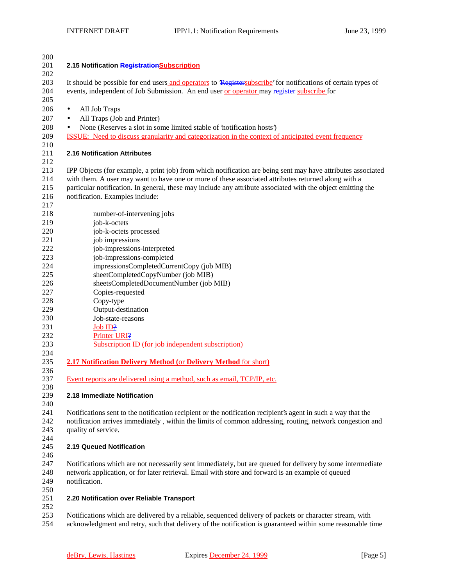| 200 |                                                                                                               |
|-----|---------------------------------------------------------------------------------------------------------------|
| 201 | 2.15 Notification Registration Subscription                                                                   |
| 202 |                                                                                                               |
| 203 | It should be possible for end users and operators to Registersubscribe' for notifications of certain types of |
| 204 | events, independent of Job Submission. An end user or operator may register subscribe for                     |
|     |                                                                                                               |
| 205 |                                                                                                               |
| 206 | All Job Traps<br>$\bullet$                                                                                    |
| 207 | All Traps (Job and Printer)<br>$\bullet$                                                                      |
| 208 | None (Reserves a slot in some limited stable of 'notification hosts')<br>$\bullet$                            |
| 209 | ISSUE: Need to discuss granularity and categorization in the context of anticipated event frequency           |
| 210 |                                                                                                               |
| 211 | 2.16 Notification Attributes                                                                                  |
| 212 |                                                                                                               |
|     |                                                                                                               |
| 213 | IPP Objects (for example, a print job) from which notification are being sent may have attributes associated  |
| 214 | with them. A user may want to have one or more of these associated attributes returned along with a           |
| 215 | particular notification. In general, these may include any attribute associated with the object emitting the  |
| 216 | notification. Examples include:                                                                               |
| 217 |                                                                                                               |
| 218 | number-of-intervening jobs                                                                                    |
| 219 | job-k-octets                                                                                                  |
| 220 | job-k-octets processed                                                                                        |
| 221 | job impressions                                                                                               |
| 222 | job-impressions-interpreted                                                                                   |
| 223 |                                                                                                               |
|     | job-impressions-completed                                                                                     |
| 224 | impressionsCompletedCurrentCopy (job MIB)                                                                     |
| 225 | sheetCompletedCopyNumber (job MIB)                                                                            |
| 226 | sheetsCompletedDocumentNumber (job MIB)                                                                       |
| 227 | Copies-requested                                                                                              |
| 228 | Copy-type                                                                                                     |
| 229 | Output-destination                                                                                            |
| 230 | Job-state-reasons                                                                                             |
| 231 | Job ID?                                                                                                       |
| 232 | Printer URI?                                                                                                  |
| 233 | Subscription ID (for job independent subscription)                                                            |
| 234 |                                                                                                               |
| 235 |                                                                                                               |
|     | 2.17 Notification Delivery Method (or Delivery Method for short)                                              |
| 236 |                                                                                                               |
| 237 | Event reports are delivered using a method, such as email, TCP/IP, etc.                                       |
| 238 |                                                                                                               |
| 239 | 2.18 Immediate Notification                                                                                   |
| 240 |                                                                                                               |
| 241 | Notifications sent to the notification recipient or the notification recipient's agent in such a way that the |
| 242 | notification arrives immediately, within the limits of common addressing, routing, network congestion and     |
| 243 | quality of service.                                                                                           |
| 244 |                                                                                                               |
| 245 | 2.19 Queued Notification                                                                                      |
| 246 |                                                                                                               |
| 247 | Notifications which are not necessarily sent immediately, but are queued for delivery by some intermediate    |
| 248 | network application, or for later retrieval. Email with store and forward is an example of queued             |
|     |                                                                                                               |
| 249 | notification.                                                                                                 |
| 250 |                                                                                                               |
| 251 | 2.20 Notification over Reliable Transport                                                                     |
| 252 |                                                                                                               |
| 253 | Notifications which are delivered by a reliable, sequenced delivery of packets or character stream, with      |
| 254 | acknowledgment and retry, such that delivery of the notification is guaranteed within some reasonable time    |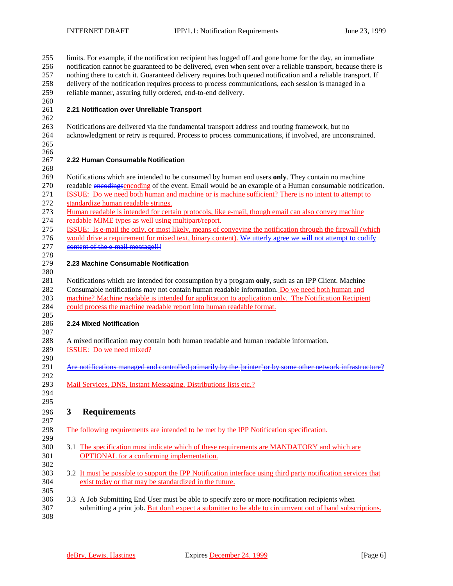| 255<br>256                             | limits. For example, if the notification recipient has logged off and gone home for the day, an immediate<br>notification cannot be guaranteed to be delivered, even when sent over a reliable transport, because there is                                                                                                                                                                                                     |
|----------------------------------------|--------------------------------------------------------------------------------------------------------------------------------------------------------------------------------------------------------------------------------------------------------------------------------------------------------------------------------------------------------------------------------------------------------------------------------|
| 257                                    | nothing there to catch it. Guaranteed delivery requires both queued notification and a reliable transport. If                                                                                                                                                                                                                                                                                                                  |
| 258                                    | delivery of the notification requires process to process communications, each session is managed in a                                                                                                                                                                                                                                                                                                                          |
| 259<br>260                             | reliable manner, assuring fully ordered, end-to-end delivery.                                                                                                                                                                                                                                                                                                                                                                  |
| 261                                    | 2.21 Notification over Unreliable Transport                                                                                                                                                                                                                                                                                                                                                                                    |
| 262                                    |                                                                                                                                                                                                                                                                                                                                                                                                                                |
| 263                                    | Notifications are delivered via the fundamental transport address and routing framework, but no                                                                                                                                                                                                                                                                                                                                |
| 264                                    | acknowledgment or retry is required. Process to process communications, if involved, are unconstrained.                                                                                                                                                                                                                                                                                                                        |
| 265                                    |                                                                                                                                                                                                                                                                                                                                                                                                                                |
| 266                                    |                                                                                                                                                                                                                                                                                                                                                                                                                                |
| 267                                    | 2.22 Human Consumable Notification                                                                                                                                                                                                                                                                                                                                                                                             |
| 268<br>269                             | Notifications which are intended to be consumed by human end users only. They contain no machine                                                                                                                                                                                                                                                                                                                               |
| 270                                    | readable encodingsencoding of the event. Email would be an example of a Human consumable notification.                                                                                                                                                                                                                                                                                                                         |
| 271                                    | ISSUE: Do we need both human and machine or is machine sufficient? There is no intent to attempt to                                                                                                                                                                                                                                                                                                                            |
| 272                                    | standardize human readable strings.                                                                                                                                                                                                                                                                                                                                                                                            |
| 273                                    | Human readable is intended for certain protocols, like e-mail, though email can also convey machine                                                                                                                                                                                                                                                                                                                            |
| 274                                    | readable MIME types as well using multipart/report.                                                                                                                                                                                                                                                                                                                                                                            |
| 275                                    | ISSUE: Is e-mail the only, or most likely, means of conveying the notification through the firewall (which                                                                                                                                                                                                                                                                                                                     |
| 276                                    | would drive a requirement for mixed text, binary content). We utterly agree we will not attempt to codify                                                                                                                                                                                                                                                                                                                      |
| 277<br>278                             | content of the e-mail message!!!                                                                                                                                                                                                                                                                                                                                                                                               |
| 279<br>280<br>281<br>282<br>283<br>284 | 2.23 Machine Consumable Notification<br>Notifications which are intended for consumption by a program only, such as an IPP Client. Machine<br>Consumable notifications may not contain human readable information. Do we need both human and<br>machine? Machine readable is intended for application to application only. The Notification Recipient<br>could process the machine readable report into human readable format. |
| 285                                    |                                                                                                                                                                                                                                                                                                                                                                                                                                |
| 286                                    | 2.24 Mixed Notification                                                                                                                                                                                                                                                                                                                                                                                                        |
| 287                                    |                                                                                                                                                                                                                                                                                                                                                                                                                                |
| 288                                    | A mixed notification may contain both human readable and human readable information.                                                                                                                                                                                                                                                                                                                                           |
| 289                                    | ISSUE: Do we need mixed?                                                                                                                                                                                                                                                                                                                                                                                                       |
| 290<br>291                             | Are notifications managed and controlled primarily by the 'printer' or by some other network infrastructure?                                                                                                                                                                                                                                                                                                                   |
| 292                                    |                                                                                                                                                                                                                                                                                                                                                                                                                                |
| 293                                    | Mail Services, DNS, Instant Messaging, Distributions lists etc.?                                                                                                                                                                                                                                                                                                                                                               |
| 294                                    |                                                                                                                                                                                                                                                                                                                                                                                                                                |
| 295                                    |                                                                                                                                                                                                                                                                                                                                                                                                                                |
| 296                                    | $\mathbf{3}$<br><b>Requirements</b>                                                                                                                                                                                                                                                                                                                                                                                            |
| 297                                    |                                                                                                                                                                                                                                                                                                                                                                                                                                |
| 298                                    | The following requirements are intended to be met by the IPP Notification specification.                                                                                                                                                                                                                                                                                                                                       |
| 299<br>300                             |                                                                                                                                                                                                                                                                                                                                                                                                                                |
| 301<br>302                             | 3.1 The specification must indicate which of these requirements are MANDATORY and which are<br><b>OPTIONAL</b> for a conforming implementation.                                                                                                                                                                                                                                                                                |
| 303                                    | 3.2 It must be possible to support the IPP Notification interface using third party notification services that                                                                                                                                                                                                                                                                                                                 |
| 304                                    | exist today or that may be standardized in the future.                                                                                                                                                                                                                                                                                                                                                                         |
| 305                                    |                                                                                                                                                                                                                                                                                                                                                                                                                                |
| 306                                    | 3.3 A Job Submitting End User must be able to specify zero or more notification recipients when                                                                                                                                                                                                                                                                                                                                |
| 307                                    | submitting a print job. But don't expect a submitter to be able to circumvent out of band subscriptions.                                                                                                                                                                                                                                                                                                                       |
| 308                                    |                                                                                                                                                                                                                                                                                                                                                                                                                                |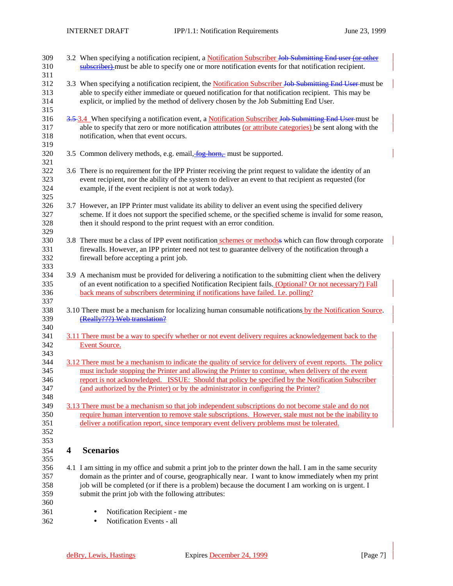| 309<br>310<br>311               |   | 3.2 When specifying a notification recipient, a Notification Subscriber Job Submitting End user (or other<br>subscriber)-must be able to specify one or more notification events for that notification recipient.                                                                                                                                                                                             |
|---------------------------------|---|---------------------------------------------------------------------------------------------------------------------------------------------------------------------------------------------------------------------------------------------------------------------------------------------------------------------------------------------------------------------------------------------------------------|
| 312<br>313<br>314<br>315        |   | 3.3 When specifying a notification recipient, the Notification Subscriber Job Submitting End User must be<br>able to specify either immediate or queued notification for that notification recipient. This may be<br>explicit, or implied by the method of delivery chosen by the Job Submitting End User.                                                                                                    |
| 316<br>317<br>318<br>319        |   | 3.5.3.4 When specifying a notification event, a Notification Subscriber Job Submitting End User must be<br>able to specify that zero or more notification attributes (or attribute categories) be sent along with the<br>notification, when that event occurs.                                                                                                                                                |
| 320<br>321                      |   | 3.5 Common delivery methods, e.g. email, fog-horn, must be supported.                                                                                                                                                                                                                                                                                                                                         |
| 322<br>323<br>324<br>325        |   | 3.6 There is no requirement for the IPP Printer receiving the print request to validate the identity of an<br>event recipient, nor the ability of the system to deliver an event to that recipient as requested (for<br>example, if the event recipient is not at work today).                                                                                                                                |
| 326<br>327<br>328<br>329        |   | 3.7 However, an IPP Printer must validate its ability to deliver an event using the specified delivery<br>scheme. If it does not support the specified scheme, or the specified scheme is invalid for some reason,<br>then it should respond to the print request with an error condition.                                                                                                                    |
| 330<br>331<br>332<br>333        |   | 3.8 There must be a class of IPP event notification schemes or methods which can flow through corporate<br>firewalls. However, an IPP printer need not test to guarantee delivery of the notification through a<br>firewall before accepting a print job.                                                                                                                                                     |
| 334<br>335<br>336<br>337        |   | 3.9 A mechanism must be provided for delivering a notification to the submitting client when the delivery<br>of an event notification to a specified Notification Recipient fails. (Optional? Or not necessary?) Fall<br>back means of subscribers determining if notifications have failed. I.e. polling?                                                                                                    |
| 338<br>339                      |   | 3.10 There must be a mechanism for localizing human consumable notifications by the Notification Source.<br>(Really???) Web translation?                                                                                                                                                                                                                                                                      |
| 340<br>341<br>342<br>343        |   | 3.11 There must be a way to specify whether or not event delivery requires acknowledgement back to the<br>Event Source.                                                                                                                                                                                                                                                                                       |
| 344<br>345<br>346<br>347<br>348 |   | 3.12 There must be a mechanism to indicate the quality of service for delivery of event reports. The policy<br>must include stopping the Printer and allowing the Printer to continue, when delivery of the event<br>report is not acknowledged. ISSUE: Should that policy be specified by the Notification Subscriber<br>(and authorized by the Printer) or by the administrator in configuring the Printer? |
| 349<br>350<br>351<br>352<br>353 |   | 3.13 There must be a mechanism so that job independent subscriptions do not become stale and do not<br>require human intervention to remove stale subscriptions. However, stale must not be the inability to<br>deliver a notification report, since temporary event delivery problems must be tolerated.                                                                                                     |
| 354<br>355                      | 4 | <b>Scenarios</b>                                                                                                                                                                                                                                                                                                                                                                                              |
| 356<br>357<br>358<br>359<br>360 |   | 4.1 I am sitting in my office and submit a print job to the printer down the hall. I am in the same security<br>domain as the printer and of course, geographically near. I want to know immediately when my print<br>job will be completed (or if there is a problem) because the document I am working on is urgent. I<br>submit the print job with the following attributes:                               |
| 361<br>362                      |   | Notification Recipient - me<br>Notification Events - all<br>٠                                                                                                                                                                                                                                                                                                                                                 |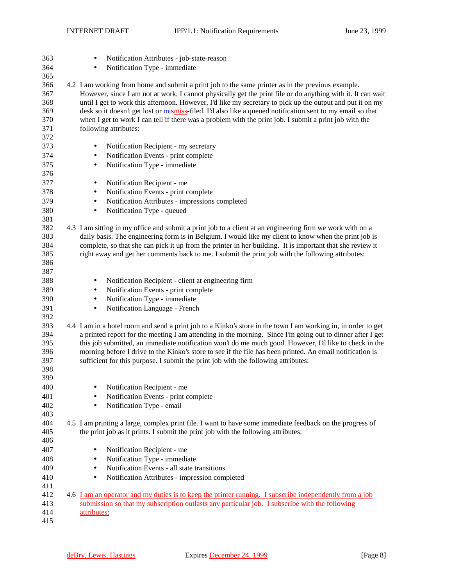| 363        | Notification Attributes - job-state-reason                                                                                                                                                                       |
|------------|------------------------------------------------------------------------------------------------------------------------------------------------------------------------------------------------------------------|
| 364        | Notification Type - immediate<br>$\bullet$                                                                                                                                                                       |
| 365        |                                                                                                                                                                                                                  |
| 366<br>367 | 4.2 I am working from home and submit a print job to the same printer as in the previous example.<br>However, since I am not at work, I cannot physically get the print file or do anything with it. It can wait |
| 368        | until I get to work this afternoon. However, I'd like my secretary to pick up the output and put it on my                                                                                                        |
| 369        | desk so it doesn't get lost or mismiss-filed. I'd also like a queued notification sent to my email so that                                                                                                       |
| 370        | when I get to work I can tell if there was a problem with the print job. I submit a print job with the                                                                                                           |
| 371        | following attributes:                                                                                                                                                                                            |
| 372        |                                                                                                                                                                                                                  |
| 373        | Notification Recipient - my secretary<br>٠                                                                                                                                                                       |
| 374        | Notification Events - print complete                                                                                                                                                                             |
|            | ٠                                                                                                                                                                                                                |
| 375<br>376 | Notification Type - immediate<br>$\bullet$                                                                                                                                                                       |
| 377        |                                                                                                                                                                                                                  |
|            | Notification Recipient - me<br>$\bullet$                                                                                                                                                                         |
| 378        | Notification Events - print complete<br>٠                                                                                                                                                                        |
| 379        | Notification Attributes - impressions completed<br>٠                                                                                                                                                             |
| 380        | Notification Type - queued<br>$\bullet$                                                                                                                                                                          |
| 381        |                                                                                                                                                                                                                  |
| 382        | 4.3 I am sitting in my office and submit a print job to a client at an engineering firm we work with on a                                                                                                        |
| 383        | daily basis. The engineering form is in Belgium. I would like my client to know when the print job is                                                                                                            |
| 384<br>385 | complete, so that she can pick it up from the printer in her building. It is important that she review it<br>right away and get her comments back to me. I submit the print job with the following attributes:   |
| 386        |                                                                                                                                                                                                                  |
| 387        |                                                                                                                                                                                                                  |
| 388        | Notification Recipient - client at engineering firm<br>$\bullet$                                                                                                                                                 |
| 389        |                                                                                                                                                                                                                  |
| 390        | Notification Events - print complete<br>$\bullet$<br>Notification Type - immediate                                                                                                                               |
| 391        | ٠<br>Notification Language - French                                                                                                                                                                              |
| 392        | $\bullet$                                                                                                                                                                                                        |
| 393        | 4.4 I am in a hotel room and send a print job to a Kinko's store in the town I am working in, in order to get                                                                                                    |
| 394        | a printed report for the meeting I am attending in the morning. Since I'm going out to dinner after I get                                                                                                        |
| 395        | this job submitted, an immediate notification won't do me much good. However, I'd like to check in the                                                                                                           |
| 396        | morning before I drive to the Kinko's store to see if the file has been printed. An email notification is                                                                                                        |
| 397        | sufficient for this purpose. I submit the print job with the following attributes:                                                                                                                               |
| 398        |                                                                                                                                                                                                                  |
| 399        |                                                                                                                                                                                                                  |
| 400        | Notification Recipient - me                                                                                                                                                                                      |
| 401        | Notification Events - print complete                                                                                                                                                                             |
| 402        | Notification Type - email<br>$\bullet$                                                                                                                                                                           |
| 403        |                                                                                                                                                                                                                  |
| 404        | 4.5 I am printing a large, complex print file. I want to have some immediate feedback on the progress of                                                                                                         |
| 405        | the print job as it prints. I submit the print job with the following attributes:                                                                                                                                |
| 406        |                                                                                                                                                                                                                  |
| 407        | Notification Recipient - me                                                                                                                                                                                      |
| 408        | Notification Type - immediate<br>٠                                                                                                                                                                               |
| 409        | Notification Events - all state transitions<br>٠                                                                                                                                                                 |
| 410        | Notification Attributes - impression completed<br>٠                                                                                                                                                              |
| 411        |                                                                                                                                                                                                                  |
| 412        | 4.6 I am an operator and my duties is to keep the printer running. I subscribe independently from a job                                                                                                          |
| 413        | submission so that my subscription outlasts any particular job. I subscribe with the following                                                                                                                   |
| 414        | attributes:                                                                                                                                                                                                      |
| 415        |                                                                                                                                                                                                                  |